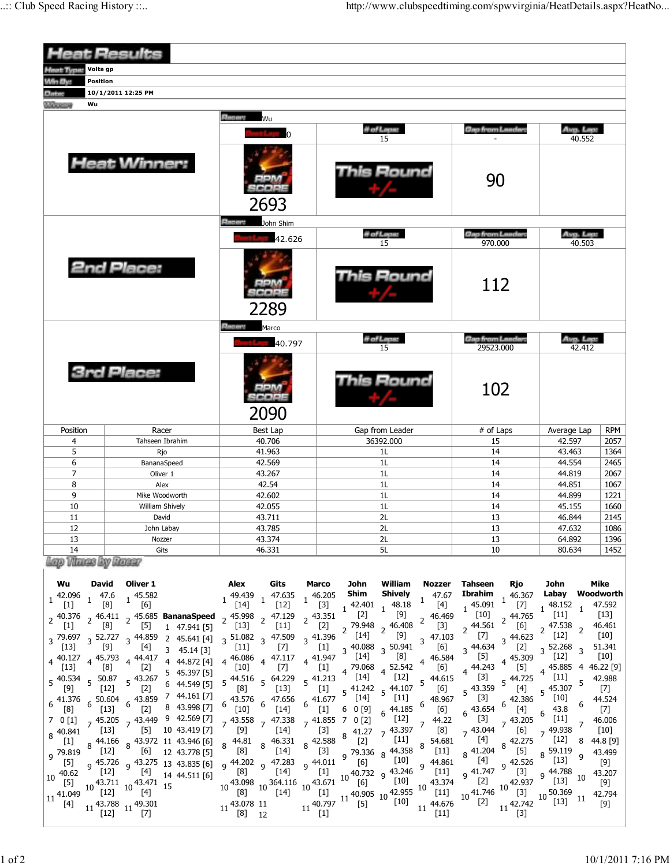|                                                                                               | <b>Heat Results</b>                                                                                                                                                         |                                                                                                                                              |                                                                                                                                                                                                                                |                                                                                                                                                                                                                                                                                                                                                                                                                |                                              |                                       |  |  |  |  |  |
|-----------------------------------------------------------------------------------------------|-----------------------------------------------------------------------------------------------------------------------------------------------------------------------------|----------------------------------------------------------------------------------------------------------------------------------------------|--------------------------------------------------------------------------------------------------------------------------------------------------------------------------------------------------------------------------------|----------------------------------------------------------------------------------------------------------------------------------------------------------------------------------------------------------------------------------------------------------------------------------------------------------------------------------------------------------------------------------------------------------------|----------------------------------------------|---------------------------------------|--|--|--|--|--|
| Volta gp<br><b>Heat Type</b>                                                                  |                                                                                                                                                                             |                                                                                                                                              |                                                                                                                                                                                                                                |                                                                                                                                                                                                                                                                                                                                                                                                                |                                              |                                       |  |  |  |  |  |
| Position<br>Win By:                                                                           |                                                                                                                                                                             |                                                                                                                                              |                                                                                                                                                                                                                                |                                                                                                                                                                                                                                                                                                                                                                                                                |                                              |                                       |  |  |  |  |  |
|                                                                                               | 10/1/2011 12:25 PM                                                                                                                                                          |                                                                                                                                              |                                                                                                                                                                                                                                |                                                                                                                                                                                                                                                                                                                                                                                                                |                                              |                                       |  |  |  |  |  |
| Wu<br><b><i><u>Charles</u></i></b>                                                            |                                                                                                                                                                             |                                                                                                                                              |                                                                                                                                                                                                                                |                                                                                                                                                                                                                                                                                                                                                                                                                |                                              |                                       |  |  |  |  |  |
|                                                                                               |                                                                                                                                                                             | Record<br>Wu                                                                                                                                 |                                                                                                                                                                                                                                |                                                                                                                                                                                                                                                                                                                                                                                                                |                                              |                                       |  |  |  |  |  |
|                                                                                               |                                                                                                                                                                             |                                                                                                                                              | # of Laps:<br>15                                                                                                                                                                                                               | <b>Gap from Leader:</b>                                                                                                                                                                                                                                                                                                                                                                                        | Avg. Lap:<br>40.552                          |                                       |  |  |  |  |  |
|                                                                                               | <b>Heat Winner:</b>                                                                                                                                                         | 2693                                                                                                                                         | Round                                                                                                                                                                                                                          | 90                                                                                                                                                                                                                                                                                                                                                                                                             |                                              |                                       |  |  |  |  |  |
|                                                                                               |                                                                                                                                                                             | <b>Elsenw</b><br>John Shim                                                                                                                   |                                                                                                                                                                                                                                |                                                                                                                                                                                                                                                                                                                                                                                                                |                                              |                                       |  |  |  |  |  |
|                                                                                               |                                                                                                                                                                             | 42.626                                                                                                                                       | # of Laps:<br>15                                                                                                                                                                                                               | <b>Gap from Leader:</b><br>970.000                                                                                                                                                                                                                                                                                                                                                                             | Avg. Lap:<br>40.503                          |                                       |  |  |  |  |  |
|                                                                                               | 2nd Place:                                                                                                                                                                  | 2289                                                                                                                                         | Round                                                                                                                                                                                                                          | 112                                                                                                                                                                                                                                                                                                                                                                                                            |                                              |                                       |  |  |  |  |  |
|                                                                                               |                                                                                                                                                                             | <b>Busine</b>                                                                                                                                |                                                                                                                                                                                                                                |                                                                                                                                                                                                                                                                                                                                                                                                                |                                              |                                       |  |  |  |  |  |
|                                                                                               |                                                                                                                                                                             | Marco                                                                                                                                        | <b>ii of Laps:</b>                                                                                                                                                                                                             | <b>Gap from Leader:</b>                                                                                                                                                                                                                                                                                                                                                                                        | Avg. Lap:                                    |                                       |  |  |  |  |  |
|                                                                                               |                                                                                                                                                                             | 40.797                                                                                                                                       | 15                                                                                                                                                                                                                             | 29523.000                                                                                                                                                                                                                                                                                                                                                                                                      | 42.412                                       |                                       |  |  |  |  |  |
| <b>3rd Place:</b>                                                                             |                                                                                                                                                                             | ain Co<br>2090                                                                                                                               | Round                                                                                                                                                                                                                          | 102                                                                                                                                                                                                                                                                                                                                                                                                            |                                              |                                       |  |  |  |  |  |
| Position<br>Racer                                                                             |                                                                                                                                                                             | Best Lap                                                                                                                                     | Gap from Leader                                                                                                                                                                                                                | # of Laps                                                                                                                                                                                                                                                                                                                                                                                                      | Average Lap                                  | <b>RPM</b>                            |  |  |  |  |  |
| 4                                                                                             | Tahseen Ibrahim                                                                                                                                                             | 40.706                                                                                                                                       | 36392.000                                                                                                                                                                                                                      | 15                                                                                                                                                                                                                                                                                                                                                                                                             | 42.597                                       | 2057                                  |  |  |  |  |  |
| 5                                                                                             | Rjo                                                                                                                                                                         | 41.963                                                                                                                                       | 1L                                                                                                                                                                                                                             | 14                                                                                                                                                                                                                                                                                                                                                                                                             | 43.463                                       | 1364                                  |  |  |  |  |  |
| 6                                                                                             | BananaSpeed                                                                                                                                                                 | 42.569                                                                                                                                       | 1 <sub>L</sub>                                                                                                                                                                                                                 | 14                                                                                                                                                                                                                                                                                                                                                                                                             | 44.554                                       | 2465                                  |  |  |  |  |  |
| $\overline{7}$                                                                                | Oliver 1                                                                                                                                                                    | 43.267                                                                                                                                       | 1L                                                                                                                                                                                                                             | 14                                                                                                                                                                                                                                                                                                                                                                                                             | 44.819                                       | 2067                                  |  |  |  |  |  |
| 8                                                                                             | Alex                                                                                                                                                                        | 42.54                                                                                                                                        | 1 <sub>L</sub>                                                                                                                                                                                                                 | 14                                                                                                                                                                                                                                                                                                                                                                                                             | 44.851                                       | 1067                                  |  |  |  |  |  |
| 9                                                                                             | Mike Woodworth                                                                                                                                                              | 42.602                                                                                                                                       | 1 <sub>L</sub>                                                                                                                                                                                                                 | 14                                                                                                                                                                                                                                                                                                                                                                                                             | 44.899                                       | 1221                                  |  |  |  |  |  |
| 10                                                                                            | William Shively                                                                                                                                                             | 42.055                                                                                                                                       | 1L                                                                                                                                                                                                                             | 14                                                                                                                                                                                                                                                                                                                                                                                                             | 45.155                                       | 1660                                  |  |  |  |  |  |
| 11                                                                                            | David                                                                                                                                                                       | 43.711                                                                                                                                       | 2L                                                                                                                                                                                                                             | 13                                                                                                                                                                                                                                                                                                                                                                                                             | 46.844                                       | 2145                                  |  |  |  |  |  |
| 12                                                                                            | John Labay                                                                                                                                                                  | 43.785                                                                                                                                       | 2L                                                                                                                                                                                                                             | 13                                                                                                                                                                                                                                                                                                                                                                                                             | 47.632                                       | 1086                                  |  |  |  |  |  |
| 13                                                                                            | 43.374<br>Nozzer                                                                                                                                                            |                                                                                                                                              | 2L                                                                                                                                                                                                                             | 13                                                                                                                                                                                                                                                                                                                                                                                                             | 64.892                                       | 1396                                  |  |  |  |  |  |
| 14<br>Gits                                                                                    |                                                                                                                                                                             | 46.331                                                                                                                                       | 5L                                                                                                                                                                                                                             | 10                                                                                                                                                                                                                                                                                                                                                                                                             | 80.634                                       | 1452                                  |  |  |  |  |  |
| layo Vitanee Bay Dhanee<br>Wu<br><b>David</b><br>42.096<br>$\overline{1}$<br>$\left[1\right]$ | Oliver 1<br>47.6<br>$1^{45.582}$<br>[8]<br>[6]                                                                                                                              | Gits<br>Alex<br>49.439 $1$<br>47.635<br>$[14]$<br>[12]                                                                                       | William<br>Marco<br>John<br>Nozzer<br>Shim<br>Shively<br>47.67<br>46.205<br>48.18<br>$[4]$<br>$[3]$<br>42.401<br>$[2]$<br>46.469<br>$2^{43.351}$                                                                               | Tahseen<br>Rjo<br>Ibrahim<br>46.367<br>45.091<br>$[7]$<br>$[10]$<br>44.765                                                                                                                                                                                                                                                                                                                                     | John<br>Labay<br>48.152<br>$[11]$            | Mike<br>Woodworth<br>47.592<br>$[13]$ |  |  |  |  |  |
| $[1]$<br>$[13]$<br>40.127                                                                     | 2 40.376 2 46.411 2 45.685 <b>BananaSpeed</b><br>[8]<br>$[5]$<br>1 47.941 [5]<br>3 79.697 3 52.727 3 44.859 2 45.641 [4]<br>[9]<br>[4]<br>$3$ 45.14 [3]<br>45.793<br>44.417 | $2\begin{array}{cc} 45.998 & 2\end{array}$ 47.129<br>$[13]$<br>$[11]$<br>$3\frac{51.082}{3}$ 3 47.509<br>$[11]$<br>$[7]$<br>46.086<br>47.117 | 46.408<br>$[3]$<br>$[2]$<br>2 79.948<br>$2 \frac{40}{[9]}$<br>$[14]$<br>47.103<br>$3^{41.396}$<br>3<br>$[6]$<br>$[1]$<br>$3\begin{array}{cc} 40.088 & 350.941 \\ 5141 & 3521 \end{array}$<br>$[14]$<br>[8]<br>46.584<br>41.947 | $2^{44.561}$<br>$[6]$<br>$[7] \centering% \includegraphics[width=1\textwidth]{images/TransY.pdf} \caption{The 3D (black) model for the estimators (black) model. The three different values of the data and the three different values of the data. The three different values of the data and the two different values of the data.} \label{fig:class}$<br>44.623<br>$[2]$<br>$3^{44.634}$<br>$[5]$<br>45.309 | $2^{47.538}$<br>$[12]$<br>3 52.268<br>$[12]$ | 46.461<br>$[10]$<br>51.341<br>$[10]$  |  |  |  |  |  |

| Wu                                                                                    | David                                                                                                                          | Oliver 1                                                                                                                                                                                                                                                                                                                                                                                                                                                                                                                                                                                                                                                                                                                                                                                                                                                                                                                                                                                                                                               |                                                                                                                                                                                       | Alex                    | Gits                                                                                                                                                                                                                                                                                                                                                                                                                                                                                                                                                                                                                                                                                                                                                                                                                                                                                                                                                        | Marco                                                   | John | William                                                                                       | Nozzer                                                                                                                                                                                                                                                                                                                                                                                                                                                                                                                                                                                                                                                                                                                                                                        | Tahseen                                                                                                                                                                                                                                                                                                                                                                                                                                                                                                                                                                                                           | Rjo                                                                                                                                                                                                     | John                                                                                                                                                                                                                                                                                                                               | Mike                                                                                                                                                                                                                   |
|---------------------------------------------------------------------------------------|--------------------------------------------------------------------------------------------------------------------------------|--------------------------------------------------------------------------------------------------------------------------------------------------------------------------------------------------------------------------------------------------------------------------------------------------------------------------------------------------------------------------------------------------------------------------------------------------------------------------------------------------------------------------------------------------------------------------------------------------------------------------------------------------------------------------------------------------------------------------------------------------------------------------------------------------------------------------------------------------------------------------------------------------------------------------------------------------------------------------------------------------------------------------------------------------------|---------------------------------------------------------------------------------------------------------------------------------------------------------------------------------------|-------------------------|-------------------------------------------------------------------------------------------------------------------------------------------------------------------------------------------------------------------------------------------------------------------------------------------------------------------------------------------------------------------------------------------------------------------------------------------------------------------------------------------------------------------------------------------------------------------------------------------------------------------------------------------------------------------------------------------------------------------------------------------------------------------------------------------------------------------------------------------------------------------------------------------------------------------------------------------------------------|---------------------------------------------------------|------|-----------------------------------------------------------------------------------------------|-------------------------------------------------------------------------------------------------------------------------------------------------------------------------------------------------------------------------------------------------------------------------------------------------------------------------------------------------------------------------------------------------------------------------------------------------------------------------------------------------------------------------------------------------------------------------------------------------------------------------------------------------------------------------------------------------------------------------------------------------------------------------------|-------------------------------------------------------------------------------------------------------------------------------------------------------------------------------------------------------------------------------------------------------------------------------------------------------------------------------------------------------------------------------------------------------------------------------------------------------------------------------------------------------------------------------------------------------------------------------------------------------------------|---------------------------------------------------------------------------------------------------------------------------------------------------------------------------------------------------------|------------------------------------------------------------------------------------------------------------------------------------------------------------------------------------------------------------------------------------------------------------------------------------------------------------------------------------|------------------------------------------------------------------------------------------------------------------------------------------------------------------------------------------------------------------------|
| $[1]$                                                                                 |                                                                                                                                | $1\begin{array}{cccc} 42.096 & 47.6 & 45.582 \\ 1 & 1 & 1 & 1 \end{array}$<br>$[8]$ $[6]$                                                                                                                                                                                                                                                                                                                                                                                                                                                                                                                                                                                                                                                                                                                                                                                                                                                                                                                                                              | $1 \begin{array}{c} 49.439 \\ [14] \end{array}$ $1 \begin{array}{c} 47.635 \\ [12] \end{array}$ $1 \begin{array}{c} 46.205 \\ [3] \end{array}$                                        |                         |                                                                                                                                                                                                                                                                                                                                                                                                                                                                                                                                                                                                                                                                                                                                                                                                                                                                                                                                                             |                                                         | Shim | Shively                                                                                       | $1 \t 47.67$<br>[4]                                                                                                                                                                                                                                                                                                                                                                                                                                                                                                                                                                                                                                                                                                                                                           |                                                                                                                                                                                                                                                                                                                                                                                                                                                                                                                                                                                                                   | <b>Ibrahim</b> 46.367<br>1 45.091 <sup>1</sup> [7]                                                                                                                                                      | Labay                                                                                                                                                                                                                                                                                                                              | Woodworth<br>47.592                                                                                                                                                                                                    |
| $\lfloor 1 \rfloor$<br>$[13]$<br>$[13]$<br>[9]<br><sub>0</sub> 79.819<br>$10^{40.62}$ | [8]<br>[9]<br>[8]<br>$5\frac{40.534}{50}$ $5\frac{50.87}{50}$ $5\frac{43.267}{50}$<br>$[12]$<br>$_{\rm R}$ 40.841 [13]<br>[12] | 2 40.376 2 46.411 2 45.685 BananaSpeed 2 45.998 2 47.129 2 43.351 2<br>[5]<br>$3\frac{79.697}{1000}$ $3\frac{52.727}{1000}$ $3\frac{44.859}{100}$<br>[4]<br>$4\frac{40.127}{100}$ $4\frac{45.793}{100}$ $4\frac{44.417}{100}$<br>[2]<br>[2]<br>$6\begin{array}{l} 41.376 \\ \hline \begin{bmatrix} 8 \end{bmatrix} & 6 \begin{array}{l} 50.604 \\ \hline \begin{bmatrix} 13 \end{array} \end{array} & 6 \begin{array}{l} 43.859 \\ \hline \begin{bmatrix} 2 \end{array} \end{array}$<br>7 0 [1] $\frac{1}{7}$ 45.205 $\frac{1}{7}$ 43.449 9 42.569 [7]<br>[5]<br>$8\begin{array}{l} 44.166 \\ 8 \end{array}$ 8 43.972 11 43.946 [6]<br>[6]<br>$9\frac{45.726}{2}$ 9 $\frac{43.275}{2}$ 13 43.835 [6]<br>$[12]$ [4]<br><sup>10</sup> [5] 10 <sup>43.711</sup> 10 <sup>43.471</sup> <sup>14</sup><br>11.049 <sup>10</sup> [12] 10 <sup>43.471</sup> <sup>15</sup><br>$\begin{bmatrix} 4 \\ 11 \end{bmatrix} \quad \begin{array}{c} 43.788 \\ 11 \\ \begin{bmatrix} 12 \\ \end{bmatrix} \end{bmatrix} \quad \begin{bmatrix} 49.301 \\ 7 \\ \end{bmatrix}$ | 1 47.941 [5]<br>2 45.641 [4]<br>3, 45.14 [3]<br>4 44.872 [4]<br>5 45.397 [5]<br>6 44.549 [5]<br>7 44.161 [7]<br>$[2]$ 8 43.998 [7]<br>10 43.419 [7]<br>12 43.778 [5]<br>14 44.511 [6] | $6^{4}$<br>11 43.078 11 | $[13]$ [11]<br>$3\frac{51.082}{51.33}$ 3 47.509 $3\frac{41.396}{51.33}$ [14] $\sim$ [9]<br>$\begin{bmatrix} 111 \\ 46.086 \\ 111 \end{bmatrix}$ $\begin{bmatrix} 7 \end{bmatrix}$ $\begin{bmatrix} 11 \\ 41.947 \end{bmatrix}$ 3 $\begin{bmatrix} 40.088 \\ 141 \end{bmatrix}$ 3 $\begin{bmatrix} 50.941 \\ 81 \end{bmatrix}$ 3 $\begin{bmatrix} 4 & 1.947 \\ 16 & 1.91 \end{bmatrix}$ $\begin{bmatrix} 14 \\ 8 \end{bmatrix}$ 3 $\begin{bmatrix} 16 \\ 16 \end{bmatrix}$ 4 $\begin{bmatrix$<br>$\begin{bmatrix} 43.576 & 6 & 47.656 & 6 & 41.677 \ [10] & 6 & [14] & 6 & [1] & 6 \end{bmatrix}$<br>[14]<br>7 $\begin{bmatrix} 43.558 & 7 & 47.338 \\ 9 & 1 & 14 \end{bmatrix}$ 7 $\begin{bmatrix} 41.855 & 7 & 0 \\ 3 & 1 & 41.27 \end{bmatrix}$<br>$[8]$ $[14]$ $[3]$ $[79.336$ $[8]$ $[10]$<br>9 44.202 9 47.283 9 44.011 $\frac{3}{5}$ [6]<br>$10^{43.098}$ 10 $364.116$ 10 $43.671$ 10 $40.732$ 9 $43.246$ 9<br>10 $[8]$ 10 $[14]$ 10 $[14]$ 10 $[14]$ | $\begin{bmatrix} 3 \end{bmatrix}$<br>$\overline{a}$ [2] |      | $1\frac{42.401}{1}$ $1\frac{48.18}{10}$<br>[9]<br>$2^{79.948}$ $2^{46.408}$<br>$[12]$<br>[10] | $2^{46.469}$<br>[3]<br>3 47.103<br>[6]<br>4 $^{46.584}$ [5]<br>$[10]$ $[7]$ $[1]$ $[70.068$ $[452.542$ $[6]$<br>$5\begin{array}{c}44.615\end{array}$ [3]<br>5 $\begin{bmatrix} 41.242 & 5 & 44.107 \end{bmatrix}$ 5 $\begin{bmatrix} 6 \end{bmatrix}$ [14] $\begin{bmatrix} 14 \end{bmatrix}$ $\begin{bmatrix} 6 & 48.967 \end{bmatrix}$<br>$\begin{array}{cccc} 7 & 0 & 2 & 12 \\ 2 & 41.27 & 7 & 43.397 \\ 8 & 127 & 7 & 111 \\ 1 & 11 & 111 & 111 \end{array}$<br>$8\frac{54.681}{54.681}$ [4]<br>[11]<br>9 44.861<br>[11]<br>$\begin{bmatrix} 5 & 10 & 43.671 & ^{10} & [6] & [10] & 10 & 43.374 & ^{5} & [2] \\ 11 & 11 & 40.905 & 10 & 42.955 & 10 & [11] & 10 & 41.746 \\ 11 & 6 & 11 & 11 & 11 & 44.676 & 10 & [2] \\ 11 & 11 & 11 & 11 & 11 & 11 & 11 \end{bmatrix}$ | $\left[10\right]$<br>$2^{44.561}$<br>$[7]$<br>3 44.634<br>$\sim$ [3]<br>$\begin{bmatrix} 1^{3} \end{bmatrix}$ 6 42.386<br>6 43.654 6 [4]<br>$[3]$<br>$8^{41.204}$<br>[4]<br>4 $\begin{bmatrix} 2 \\ 10 \end{bmatrix}$ $\begin{bmatrix} 4 \\ 10 \end{bmatrix}$ $\begin{bmatrix} 4 \\ 10 \end{bmatrix}$ $\begin{bmatrix} 4 \\ 10 \end{bmatrix}$ $\begin{bmatrix} 4 \\ 10 \end{bmatrix}$ $\begin{bmatrix} 4 \\ 10 \end{bmatrix}$ $\begin{bmatrix} 13 \\ 11 \end{bmatrix}$ $\begin{bmatrix} 4 \\ 11 \end{bmatrix}$ $\begin{bmatrix} 13 \\ 11 \end{bmatrix}$ $\begin{bmatrix} 4 \\ 11 \end{bmatrix}$ $\begin{bmatrix}$ | $2^{44.765}$ [11]<br>[6]<br>$3^{44.623}$ [12]<br>[2]<br>4 $^{45.309}$ [12]<br>$4^{44.243}$ $^{4}$ [5]<br>$5^{44.725}$<br>$\frac{1}{5}$ 43.359 <sup>5</sup> [4]<br>$[5]$<br>9 42.526<br>$9^{41.747}$ [3] | $1 \frac{48.152}{5111}$ 1<br>$2^{47.538}$ 2<br>$3\frac{52.268}{5133}$ 3<br>4 45.885<br>$[11]$<br>$5^{45.307}$<br>[10]<br>$6\frac{43.8}{5}$<br>$[11]$<br>$\begin{bmatrix} 3 \\ 7 & 43.044 \end{bmatrix}$ 7 43.205 $\begin{bmatrix} 11 \\ 6 \end{bmatrix}$ 7 49.938 7<br>$8\frac{42.275}{12}$ [12]<br>8 59.119<br>$[13]$<br>9 44.788 | $[13]$<br>46.461<br>$\lceil 10 \rceil$<br>51.341<br>$\lceil 10 \rceil$<br>42.988<br>[7]<br>44.524<br>$6\overline{6}$<br>[7]<br>46.006<br>[10]<br>44.8 [9]<br>8<br>43.499<br>q<br>[9]<br>43.207<br>[9]<br>42.794<br>[9] |
|                                                                                       |                                                                                                                                |                                                                                                                                                                                                                                                                                                                                                                                                                                                                                                                                                                                                                                                                                                                                                                                                                                                                                                                                                                                                                                                        |                                                                                                                                                                                       | [8]                     | 12                                                                                                                                                                                                                                                                                                                                                                                                                                                                                                                                                                                                                                                                                                                                                                                                                                                                                                                                                          | $[1]$                                                   |      |                                                                                               | $[11]$                                                                                                                                                                                                                                                                                                                                                                                                                                                                                                                                                                                                                                                                                                                                                                        |                                                                                                                                                                                                                                                                                                                                                                                                                                                                                                                                                                                                                   |                                                                                                                                                                                                         |                                                                                                                                                                                                                                                                                                                                    |                                                                                                                                                                                                                        |